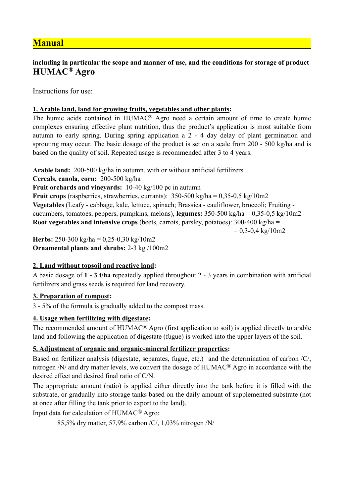# **Manual**

## **including in particular the scope and manner of use, and the conditions for storage of product HUMAC® Agro**

Instructions for use:

### **1. Arable land, land for growing fruits, vegetables and other plants:**

The humic acids contained in HUMAC**®** Agro need a certain amount of time to create humic complexes ensuring effective plant nutrition, thus the product's application is most suitable from autumn to early spring. During spring application a 2 - 4 day delay of plant germination and sprouting may occur. The basic dosage of the product is set on a scale from 200 - 500 kg/ha and is based on the quality of soil. Repeated usage is recommended after 3 to 4 years.

**Arable land:** 200-500 kg/ha in autumn, with or without artificial fertilizers

**Cereals, canola, corn:** 200-500 kg/ha

**Fruit orchards and vineyards:** 10-40 kg/100 pc in autumn

**Fruit crops** (raspberries, strawberries, currants):  $350-500$  kg/ha =  $0.35-0.5$  kg/10m2 **Vegetables** (Leafy - cabbage, kale, lettuce, spinach; Brassica - cauliflower, broccoli; Fruiting cucumbers, tomatoes, peppers, pumpkins, melons), **legumes:** 350-500 kg/ha = 0,35-0,5 kg/10m2 **Root vegetables and intensive crops** (beets, carrots, parsley, potatoes): 300-400 kg/ha =  $= 0.3 - 0.4 \text{ kg}/10 \text{m}2$ 

**Herbs:** 250-300 kg/ha =  $0.25 - 0.30$  kg/10m2 **Ornamental plants and shrubs:** 2-3 kg /100m2

## **2. Land without topsoil and reactive land:**

A basic dosage of **1 - 3 t/ha** repeatedly applied throughout 2 - 3 years in combination with artificial fertilizers and grass seeds is required for land recovery.

#### **3. Preparation of compost:**

3 - 5% of the formula is gradually added to the compost mass.

## **4. Usage when fertilizing with digestate:**

The recommended amount of HUMAC® Agro (first application to soil) is applied directly to arable land and following the application of digestate (fugue) is worked into the upper layers of the soil.

## **5. Adjustment of organic and organic-mineral fertilizer properties:**

Based on fertilizer analysis (digestate, separates, fugue, etc.) and the determination of carbon /C/, nitrogen /N/ and dry matter levels, we convert the dosage of HUMAC® Agro in accordance with the desired effect and desired final ratio of C/N.

The appropriate amount (ratio) is applied either directly into the tank before it is filled with the substrate, or gradually into storage tanks based on the daily amount of supplemented substrate (not at once after filling the tank prior to export to the land).

Input data for calculation of HUMAC® Agro:

85,5% dry matter, 57,9% carbon /C/, 1,03% nitrogen /N/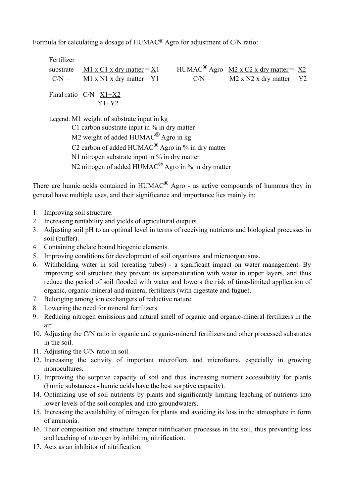Formula for calculating a dosage of HUMAC® Agro for adjustment of C/N ratio:

Fertilizer substrate M1 x C1 x dry matter =  $X1$  HUMAC<sup>®</sup> Agro M2 x C2 x dry matter =  $X2$  $C/N =$  M1 x N1 x dry matter Y1  $C/N =$  M2 x N2 x dry matter Y2 Final ratio C/N X1+X2 Y1+Y2

Legend: M1 weight of substrate input in kg C1 carbon substrate input in % in dry matter M2 weight of added HUMAC**®** Agro in kg C2 carbon of added HUMAC**®** Agro in % in dry matter N1 nitrogen substrate input in % in dry matter N2 nitrogen of added HUMAC**®** Agro in % in dry matter

There are humic acids contained in HUMAC**®** Agro - as active compounds of hummus they in general have multiple uses, and their significance and importance lies mainly in:

- 1. Improving soil structure.
- 2. Increasing rentability and yields of agricultural outputs.
- 3. Adjusting soil pH to an optimal level in terms of receiving nutrients and biological processes in soil (buffer).
- 4. Containing chelate bound biogenic elements.
- 5. Improving conditions for development of soil organisms and microorganisms.
- 6. Withholding water in soil (creating tubes) a significant impact on water management. By improving soil structure they prevent its supersaturation with water in upper layers, and thus reduce the period of soil flooded with water and lowers the risk of time-limited application of organic, organic-mineral and mineral fertilizers (with digestate and fugue).
- 7. Belonging among ion exchangers of reductive nature.
- 8. Lowering the need for mineral fertilizers.
- 9. Reducing nitrogen emissions and natural smell of organic and organic-mineral fertilizers in the air.
- 10. Adjusting the C/N ratio in organic and organic-mineral fertilizers and other processed substrates in the soil.
- 11. Adjusting the C/N ratio in soil.
- 12. Increasing the activity of important microflora and microfauna, especially in growing monocultures.
- 13. Improving the sorptive capacity of soil and thus increasing nutrient accessibility for plants (humic substances - humic acids have the best sorptive capacity).
- 14. Optimizing use of soil nutrients by plants and significantly limiting leaching of nutrients into lower levels of the soil complex and into groundwaters.
- 15. Increasing the availability of nitrogen for plants and avoiding its loss in the atmosphere in form of ammonia.
- 16. Their composition and structure hamper nitrification processes in the soil, thus preventing loss and leaching of nitrogen by inhibiting nitrification.
- 17. Acts as an inhibitor of nitrification.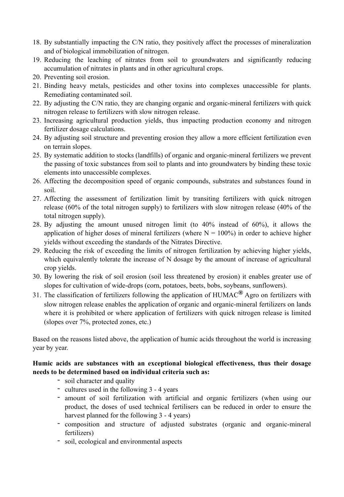- 18. By substantially impacting the C/N ratio, they positively affect the processes of mineralization and of biological immobilization of nitrogen.
- 19. Reducing the leaching of nitrates from soil to groundwaters and significantly reducing accumulation of nitrates in plants and in other agricultural crops.
- 20. Preventing soil erosion.
- 21. Binding heavy metals, pesticides and other toxins into complexes unaccessible for plants. Remediating contaminated soil.
- 22. By adjusting the C/N ratio, they are changing organic and organic-mineral fertilizers with quick nitrogen release to fertilizers with slow nitrogen release.
- 23. Increasing agricultural production yields, thus impacting production economy and nitrogen fertilizer dosage calculations.
- 24. By adjusting soil structure and preventing erosion they allow a more efficient fertilization even on terrain slopes.
- 25. By systematic addition to stocks (landfills) of organic and organic-mineral fertilizers we prevent the passing of toxic substances from soil to plants and into groundwaters by binding these toxic elements into unaccessible complexes.
- 26. Affecting the decomposition speed of organic compounds, substrates and substances found in soil.
- 27. Affecting the assessment of fertilization limit by transiting fertilizers with quick nitrogen release (60% of the total nitrogen supply) to fertilizers with slow nitrogen release (40% of the total nitrogen supply).
- 28. By adjusting the amount unused nitrogen limit (to 40% instead of 60%), it allows the application of higher doses of mineral fertilizers (where  $N = 100\%$ ) in order to achieve higher yields without exceeding the standards of the Nitrates Directive.
- 29. Reducing the risk of exceeding the limits of nitrogen fertilization by achieving higher yields, which equivalently tolerate the increase of N dosage by the amount of increase of agricultural crop yields.
- 30. By lowering the risk of soil erosion (soil less threatened by erosion) it enables greater use of slopes for cultivation of wide-drops (corn, potatoes, beets, bobs, soybeans, sunflowers).
- 31. The classification of fertilizers following the application of HUMAC**®** Agro on fertilizers with slow nitrogen release enables the application of organic and organic-mineral fertilizers on lands where it is prohibited or where application of fertilizers with quick nitrogen release is limited (slopes over 7%, protected zones, etc.)

Based on the reasons listed above, the application of humic acids throughout the world is increasing year by year.

#### **Humic acids are substances with an exceptional biological effectiveness, thus their dosage needs to be determined based on individual criteria such as:**

- soil character and quality
- cultures used in the following 3 4 years
- amount of soil fertilization with artificial and organic fertilizers (when using our product, the doses of used technical fertilisers can be reduced in order to ensure the harvest planned for the following 3 - 4 years)
- composition and structure of adjusted substrates (organic and organic-mineral fertilizers)
- soil, ecological and environmental aspects